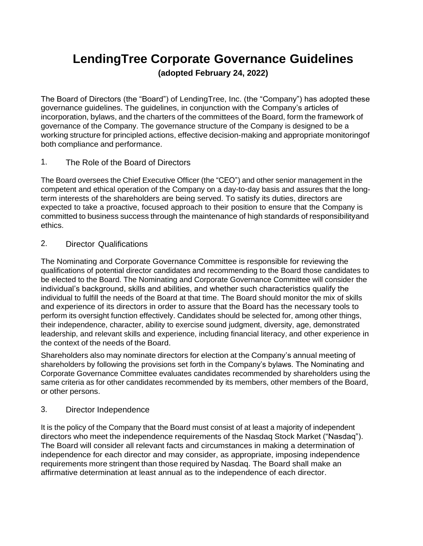# **LendingTree Corporate Governance Guidelines**

**(adopted February 24, 2022)**

The Board of Directors (the "Board") of LendingTree, Inc. (the "Company") has adopted these governance guidelines. The guidelines, in conjunction with the Company's articles of incorporation, bylaws, and the charters of the committees of the Board, form the framework of governance of the Company. The governance structure of the Company is designed to be a working structure for principled actions, effective decision-making and appropriate monitoringof both compliance and performance.

# 1. The Role of the Board of Directors

The Board oversees the Chief Executive Officer (the "CEO") and other senior management in the competent and ethical operation of the Company on a day-to-day basis and assures that the longterm interests of the shareholders are being served. To satisfy its duties, directors are expected to take a proactive, focused approach to their position to ensure that the Company is committed to business success through the maintenance of high standards of responsibilityand ethics.

## 2. Director Qualifications

The Nominating and Corporate Governance Committee is responsible for reviewing the qualifications of potential director candidates and recommending to the Board those candidates to be elected to the Board. The Nominating and Corporate Governance Committee will consider the individual's background, skills and abilities, and whether such characteristics qualify the individual to fulfill the needs of the Board at that time. The Board should monitor the mix of skills and experience of its directors in order to assure that the Board has the necessary tools to perform its oversight function effectively. Candidates should be selected for, among other things, their independence, character, ability to exercise sound judgment, diversity, age, demonstrated leadership, and relevant skills and experience, including financial literacy, and other experience in the context of the needs of the Board.

Shareholders also may nominate directors for election at the Company's annual meeting of shareholders by following the provisions set forth in the Company's bylaws. The Nominating and Corporate Governance Committee evaluates candidates recommended by shareholders using the same criteria as for other candidates recommended by its members, other members of the Board, or other persons.

#### 3. Director Independence

It is the policy of the Company that the Board must consist of at least a majority of independent directors who meet the independence requirements of the Nasdaq Stock Market ("Nasdaq"). The Board will consider all relevant facts and circumstances in making a determination of independence for each director and may consider, as appropriate, imposing independence requirements more stringent than those required by Nasdaq. The Board shall make an affirmative determination at least annual as to the independence of each director.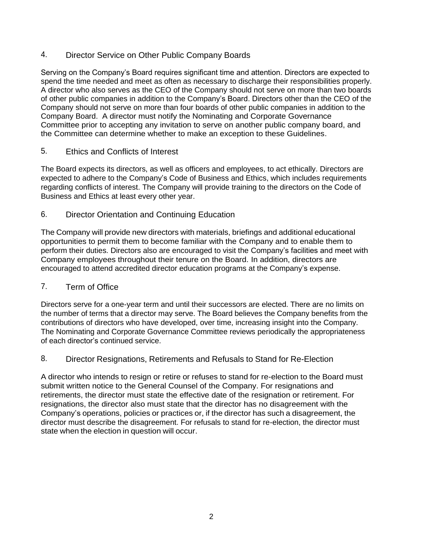## 4. Director Service on Other Public Company Boards

Serving on the Company's Board requires significant time and attention. Directors are expected to spend the time needed and meet as often as necessary to discharge their responsibilities properly. A director who also serves as the CEO of the Company should not serve on more than two boards of other public companies in addition to the Company's Board. Directors other than the CEO of the Company should not serve on more than four boards of other public companies in addition to the Company Board. A director must notify the Nominating and Corporate Governance Committee prior to accepting any invitation to serve on another public company board, and the Committee can determine whether to make an exception to these Guidelines.

# 5. Ethics and Conflicts of Interest

The Board expects its directors, as well as officers and employees, to act ethically. Directors are expected to adhere to the Company's Code of Business and Ethics, which includes requirements regarding conflicts of interest. The Company will provide training to the directors on the Code of Business and Ethics at least every other year.

## 6. Director Orientation and Continuing Education

The Company will provide new directors with materials, briefings and additional educational opportunities to permit them to become familiar with the Company and to enable them to perform their duties. Directors also are encouraged to visit the Company's facilities and meet with Company employees throughout their tenure on the Board. In addition, directors are encouraged to attend accredited director education programs at the Company's expense.

## 7. Term of Office

Directors serve for a one-year term and until their successors are elected. There are no limits on the number of terms that a director may serve. The Board believes the Company benefits from the contributions of directors who have developed, over time, increasing insight into the Company. The Nominating and Corporate Governance Committee reviews periodically the appropriateness of each director's continued service.

## 8. Director Resignations, Retirements and Refusals to Stand for Re-Election

A director who intends to resign or retire or refuses to stand for re-election to the Board must submit written notice to the General Counsel of the Company. For resignations and retirements, the director must state the effective date of the resignation or retirement. For resignations, the director also must state that the director has no disagreement with the Company's operations, policies or practices or, if the director has such a disagreement, the director must describe the disagreement. For refusals to stand for re-election, the director must state when the election in question will occur.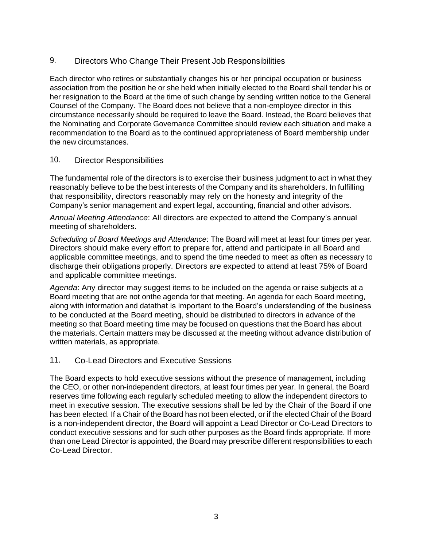# 9. Directors Who Change Their Present Job Responsibilities

Each director who retires or substantially changes his or her principal occupation or business association from the position he or she held when initially elected to the Board shall tender his or her resignation to the Board at the time of such change by sending written notice to the General Counsel of the Company. The Board does not believe that a non-employee director in this circumstance necessarily should be required to leave the Board. Instead, the Board believes that the Nominating and Corporate Governance Committee should review each situation and make a recommendation to the Board as to the continued appropriateness of Board membership under the new circumstances.

## 10. Director Responsibilities

The fundamental role of the directors is to exercise their business judgment to act in what they reasonably believe to be the best interests of the Company and its shareholders. In fulfilling that responsibility, directors reasonably may rely on the honesty and integrity of the Company's senior management and expert legal, accounting, financial and other advisors.

*Annual Meeting Attendance*: All directors are expected to attend the Company's annual meeting of shareholders.

*Scheduling of Board Meetings and Attendance*: The Board will meet at least four times per year. Directors should make every effort to prepare for, attend and participate in all Board and applicable committee meetings, and to spend the time needed to meet as often as necessary to discharge their obligations properly. Directors are expected to attend at least 75% of Board and applicable committee meetings.

*Agenda*: Any director may suggest items to be included on the agenda or raise subjects at a Board meeting that are not onthe agenda for that meeting. An agenda for each Board meeting, along with information and datathat is important to the Board's understanding of the business to be conducted at the Board meeting, should be distributed to directors in advance of the meeting so that Board meeting time may be focused on questions that the Board has about the materials. Certain matters may be discussed at the meeting without advance distribution of written materials, as appropriate.

## 11. Co-Lead Directors and Executive Sessions

The Board expects to hold executive sessions without the presence of management, including the CEO, or other non-independent directors, at least four times per year. In general, the Board reserves time following each regularly scheduled meeting to allow the independent directors to meet in executive session. The executive sessions shall be led by the Chair of the Board if one has been elected. If a Chair of the Board has not been elected, or if the elected Chair of the Board is a non-independent director, the Board will appoint a Lead Director or Co-Lead Directors to conduct executive sessions and for such other purposes as the Board finds appropriate. If more than one Lead Director is appointed, the Board may prescribe different responsibilities to each Co-Lead Director.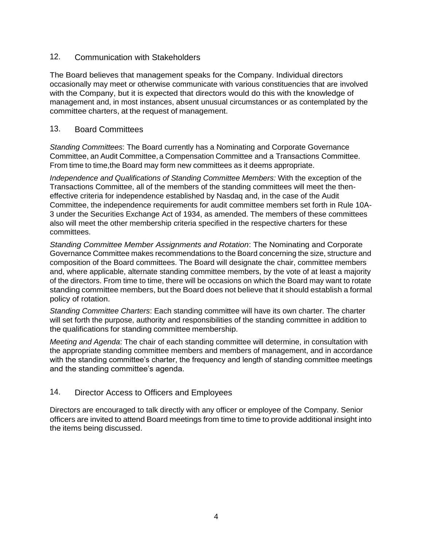## 12. Communication with Stakeholders

The Board believes that management speaks for the Company. Individual directors occasionally may meet or otherwise communicate with various constituencies that are involved with the Company, but it is expected that directors would do this with the knowledge of management and, in most instances, absent unusual circumstances or as contemplated by the committee charters, at the request of management.

## 13. Board Committees

*Standing Committees*: The Board currently has a Nominating and Corporate Governance Committee, an Audit Committee, a Compensation Committee and a Transactions Committee. From time to time,the Board may form new committees as it deems appropriate.

*Independence and Qualifications of Standing Committee Members:* With the exception of the Transactions Committee, all of the members of the standing committees will meet the theneffective criteria for independence established by Nasdaq and, in the case of the Audit Committee, the independence requirements for audit committee members set forth in Rule 10A-3 under the Securities Exchange Act of 1934, as amended. The members of these committees also will meet the other membership criteria specified in the respective charters for these committees.

*Standing Committee Member Assignments and Rotation*: The Nominating and Corporate Governance Committee makes recommendations to the Board concerning the size, structure and composition of the Board committees. The Board will designate the chair, committee members and, where applicable, alternate standing committee members, by the vote of at least a majority of the directors. From time to time, there will be occasions on which the Board may want to rotate standing committee members, but the Board does not believe that it should establish a formal policy of rotation.

*Standing Committee Charters*: Each standing committee will have its own charter. The charter will set forth the purpose, authority and responsibilities of the standing committee in addition to the qualifications for standing committee membership.

*Meeting and Agenda*: The chair of each standing committee will determine, in consultation with the appropriate standing committee members and members of management, and in accordance with the standing committee's charter, the frequency and length of standing committee meetings and the standing committee's agenda.

## 14. Director Access to Officers and Employees

Directors are encouraged to talk directly with any officer or employee of the Company. Senior officers are invited to attend Board meetings from time to time to provide additional insight into the items being discussed.